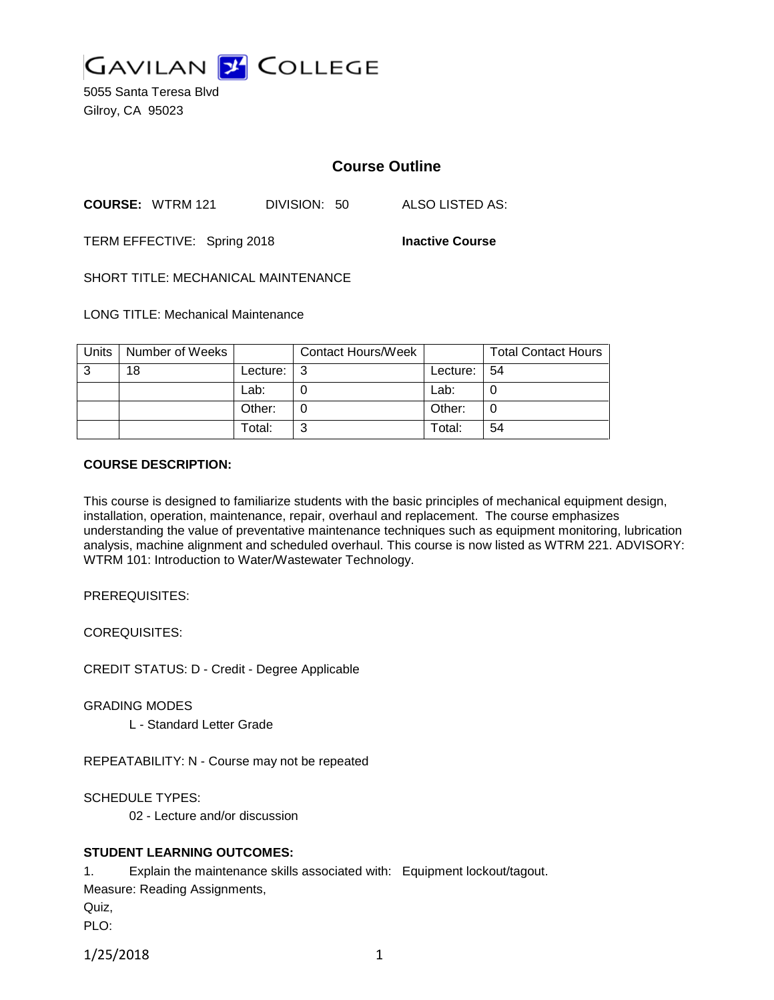

5055 Santa Teresa Blvd Gilroy, CA 95023

# **Course Outline**

**COURSE:** WTRM 121 DIVISION: 50 ALSO LISTED AS:

TERM EFFECTIVE: Spring 2018 **Inactive Course**

SHORT TITLE: MECHANICAL MAINTENANCE

LONG TITLE: Mechanical Maintenance

| Units | Number of Weeks |          | <b>Contact Hours/Week</b> |          | <b>Total Contact Hours</b> |
|-------|-----------------|----------|---------------------------|----------|----------------------------|
| 3     | 18              | Lecture: |                           | Lecture: | -54                        |
|       |                 | Lab:     |                           | Lab:     |                            |
|       |                 | Other:   |                           | Other:   | U                          |
|       |                 | Total:   |                           | Total:   | 54                         |

#### **COURSE DESCRIPTION:**

This course is designed to familiarize students with the basic principles of mechanical equipment design, installation, operation, maintenance, repair, overhaul and replacement. The course emphasizes understanding the value of preventative maintenance techniques such as equipment monitoring, lubrication analysis, machine alignment and scheduled overhaul. This course is now listed as WTRM 221. ADVISORY: WTRM 101: Introduction to Water/Wastewater Technology.

PREREQUISITES:

COREQUISITES:

CREDIT STATUS: D - Credit - Degree Applicable

GRADING MODES

L - Standard Letter Grade

REPEATABILITY: N - Course may not be repeated

SCHEDULE TYPES:

02 - Lecture and/or discussion

## **STUDENT LEARNING OUTCOMES:**

1. Explain the maintenance skills associated with: Equipment lockout/tagout. Measure: Reading Assignments, Quiz,

PLO:

1/25/2018 1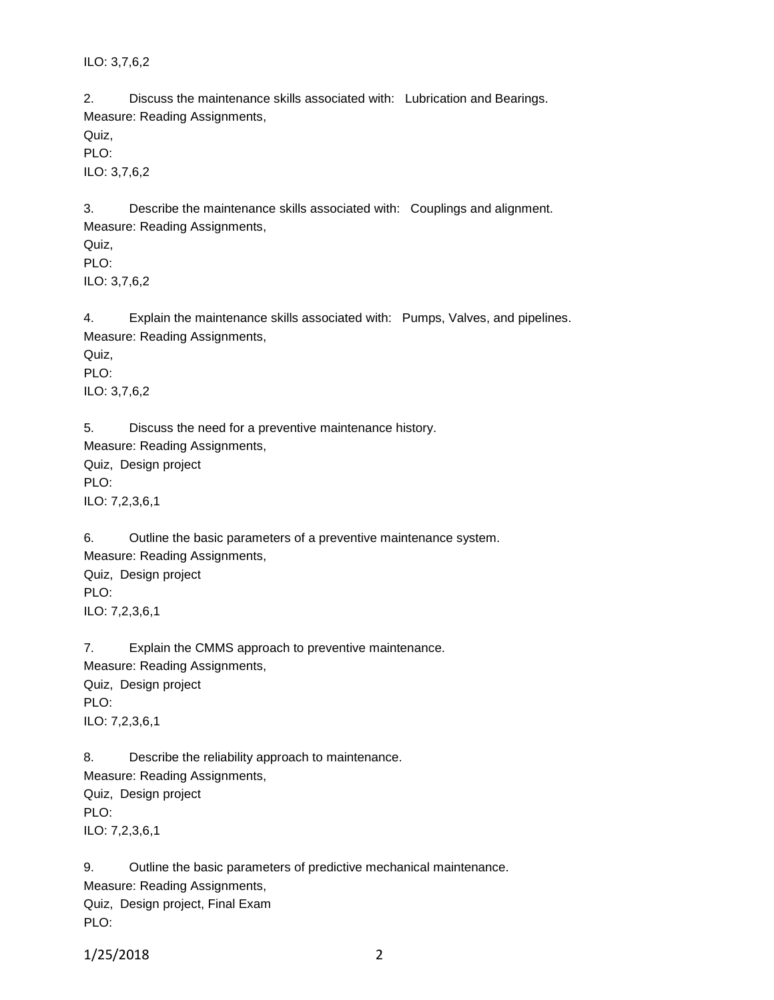ILO: 3,7,6,2

2. Discuss the maintenance skills associated with: Lubrication and Bearings. Measure: Reading Assignments,

Quiz,

PLO:

ILO: 3,7,6,2

3. Describe the maintenance skills associated with: Couplings and alignment. Measure: Reading Assignments, Quiz,

PLO:

ILO: 3,7,6,2

4. Explain the maintenance skills associated with: Pumps, Valves, and pipelines. Measure: Reading Assignments,

Quiz,

PLO: ILO: 3,7,6,2

5. Discuss the need for a preventive maintenance history. Measure: Reading Assignments,

Quiz, Design project PLO: ILO: 7,2,3,6,1

6. Outline the basic parameters of a preventive maintenance system. Measure: Reading Assignments, Quiz, Design project PLO: ILO: 7,2,3,6,1

7. Explain the CMMS approach to preventive maintenance. Measure: Reading Assignments, Quiz, Design project PLO: ILO: 7,2,3,6,1

8. Describe the reliability approach to maintenance. Measure: Reading Assignments, Quiz, Design project PLO: ILO: 7,2,3,6,1

9. Outline the basic parameters of predictive mechanical maintenance. Measure: Reading Assignments, Quiz, Design project, Final Exam PLO:

1/25/2018 2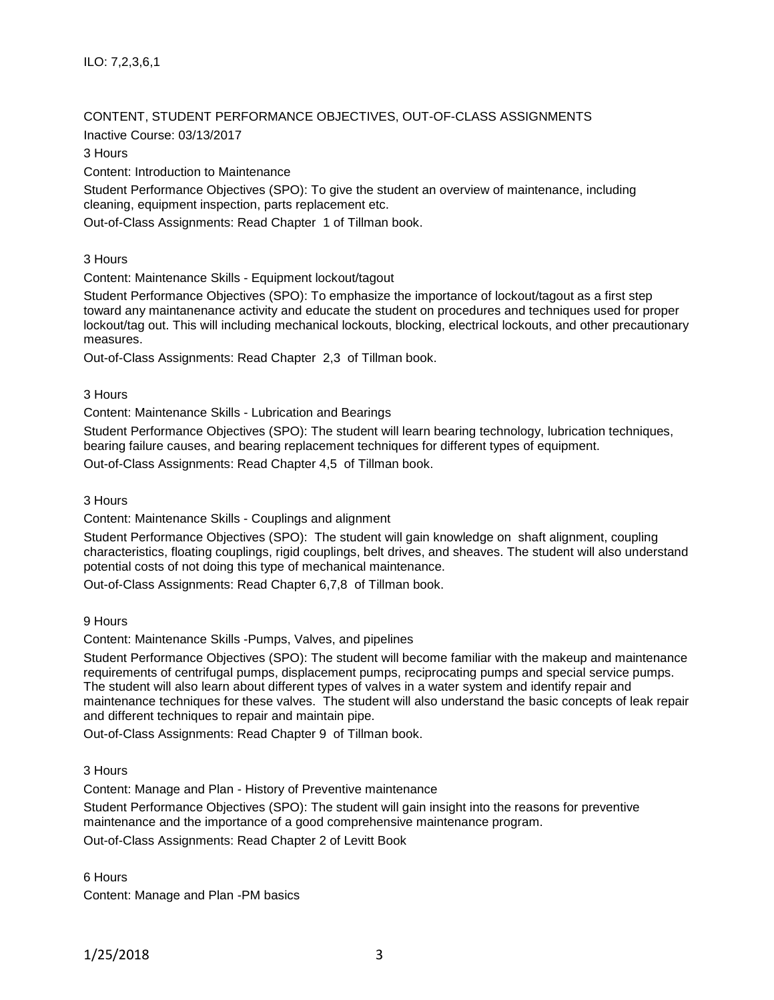ILO: 7,2,3,6,1

## CONTENT, STUDENT PERFORMANCE OBJECTIVES, OUT-OF-CLASS ASSIGNMENTS

Inactive Course: 03/13/2017

3 Hours

Content: Introduction to Maintenance

Student Performance Objectives (SPO): To give the student an overview of maintenance, including cleaning, equipment inspection, parts replacement etc.

Out-of-Class Assignments: Read Chapter 1 of Tillman book.

3 Hours

Content: Maintenance Skills - Equipment lockout/tagout

Student Performance Objectives (SPO): To emphasize the importance of lockout/tagout as a first step toward any maintanenance activity and educate the student on procedures and techniques used for proper lockout/tag out. This will including mechanical lockouts, blocking, electrical lockouts, and other precautionary measures.

Out-of-Class Assignments: Read Chapter 2,3 of Tillman book.

3 Hours

Content: Maintenance Skills - Lubrication and Bearings

Student Performance Objectives (SPO): The student will learn bearing technology, lubrication techniques, bearing failure causes, and bearing replacement techniques for different types of equipment.

Out-of-Class Assignments: Read Chapter 4,5 of Tillman book.

3 Hours

Content: Maintenance Skills - Couplings and alignment

Student Performance Objectives (SPO): The student will gain knowledge on shaft alignment, coupling characteristics, floating couplings, rigid couplings, belt drives, and sheaves. The student will also understand potential costs of not doing this type of mechanical maintenance.

Out-of-Class Assignments: Read Chapter 6,7,8 of Tillman book.

9 Hours

Content: Maintenance Skills -Pumps, Valves, and pipelines

Student Performance Objectives (SPO): The student will become familiar with the makeup and maintenance requirements of centrifugal pumps, displacement pumps, reciprocating pumps and special service pumps. The student will also learn about different types of valves in a water system and identify repair and maintenance techniques for these valves. The student will also understand the basic concepts of leak repair and different techniques to repair and maintain pipe.

Out-of-Class Assignments: Read Chapter 9 of Tillman book.

3 Hours

Content: Manage and Plan - History of Preventive maintenance

Student Performance Objectives (SPO): The student will gain insight into the reasons for preventive maintenance and the importance of a good comprehensive maintenance program.

Out-of-Class Assignments: Read Chapter 2 of Levitt Book

6 Hours

Content: Manage and Plan -PM basics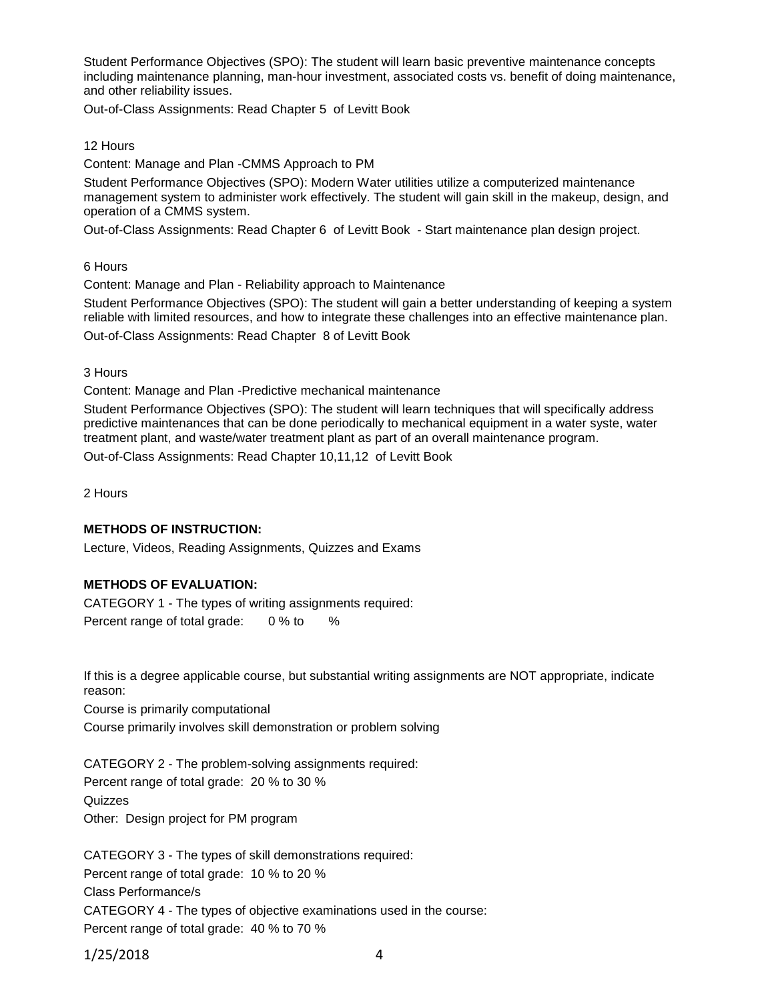Student Performance Objectives (SPO): The student will learn basic preventive maintenance concepts including maintenance planning, man-hour investment, associated costs vs. benefit of doing maintenance, and other reliability issues.

Out-of-Class Assignments: Read Chapter 5 of Levitt Book

#### 12 Hours

Content: Manage and Plan -CMMS Approach to PM

Student Performance Objectives (SPO): Modern Water utilities utilize a computerized maintenance management system to administer work effectively. The student will gain skill in the makeup, design, and operation of a CMMS system.

Out-of-Class Assignments: Read Chapter 6 of Levitt Book - Start maintenance plan design project.

6 Hours

Content: Manage and Plan - Reliability approach to Maintenance

Student Performance Objectives (SPO): The student will gain a better understanding of keeping a system reliable with limited resources, and how to integrate these challenges into an effective maintenance plan. Out-of-Class Assignments: Read Chapter 8 of Levitt Book

3 Hours

Content: Manage and Plan -Predictive mechanical maintenance

Student Performance Objectives (SPO): The student will learn techniques that will specifically address predictive maintenances that can be done periodically to mechanical equipment in a water syste, water treatment plant, and waste/water treatment plant as part of an overall maintenance program.

Out-of-Class Assignments: Read Chapter 10,11,12 of Levitt Book

2 Hours

## **METHODS OF INSTRUCTION:**

Lecture, Videos, Reading Assignments, Quizzes and Exams

## **METHODS OF EVALUATION:**

CATEGORY 1 - The types of writing assignments required: Percent range of total grade: 0 % to %

If this is a degree applicable course, but substantial writing assignments are NOT appropriate, indicate reason:

Course is primarily computational

Course primarily involves skill demonstration or problem solving

CATEGORY 2 - The problem-solving assignments required: Percent range of total grade: 20 % to 30 % **Quizzes** Other: Design project for PM program

CATEGORY 3 - The types of skill demonstrations required: Percent range of total grade: 10 % to 20 % Class Performance/s CATEGORY 4 - The types of objective examinations used in the course: Percent range of total grade: 40 % to 70 %

1/25/2018 4